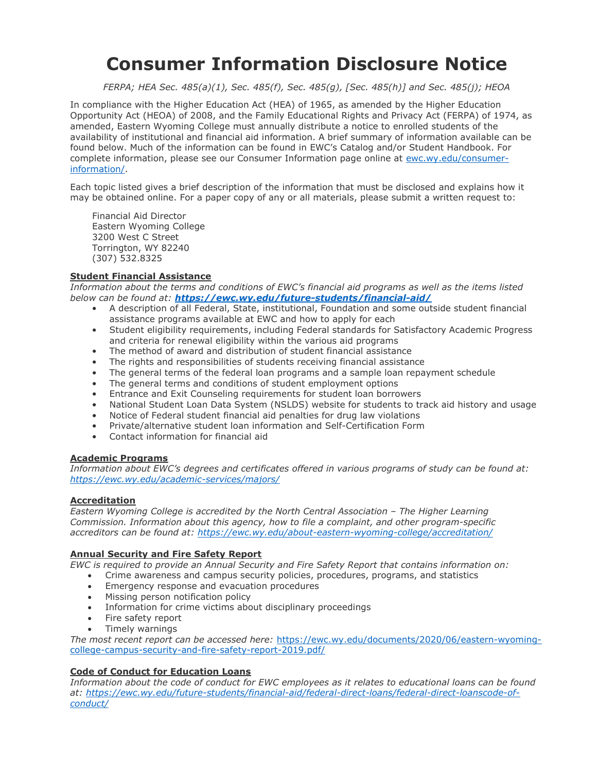# Consumer Information Disclosure Notice

FERPA; HEA Sec. 485(a)(1), Sec. 485(f), Sec. 485(g), [Sec. 485(h)] and Sec. 485(j); HEOA

In compliance with the Higher Education Act (HEA) of 1965, as amended by the Higher Education Opportunity Act (HEOA) of 2008, and the Family Educational Rights and Privacy Act (FERPA) of 1974, as amended, Eastern Wyoming College must annually distribute a notice to enrolled students of the availability of institutional and financial aid information. A brief summary of information available can be found below. Much of the information can be found in EWC's Catalog and/or Student Handbook. For complete information, please see our Consumer Information page online at ewc.wy.edu/consumerinformation/.

Each topic listed gives a brief description of the information that must be disclosed and explains how it may be obtained online. For a paper copy of any or all materials, please submit a written request to:

Financial Aid Director Eastern Wyoming College 3200 West C Street Torrington, WY 82240 (307) 532.8325

# Student Financial Assistance

Information about the terms and conditions of EWC's financial aid programs as well as the items listed below can be found at: https://ewc.wy.edu/future-students/financial-aid/

- A description of all Federal, State, institutional, Foundation and some outside student financial assistance programs available at EWC and how to apply for each
- Student eligibility requirements, including Federal standards for Satisfactory Academic Progress and criteria for renewal eligibility within the various aid programs
- The method of award and distribution of student financial assistance
- The rights and responsibilities of students receiving financial assistance
- The general terms of the federal loan programs and a sample loan repayment schedule
- The general terms and conditions of student employment options
- Entrance and Exit Counseling requirements for student loan borrowers
- National Student Loan Data System (NSLDS) website for students to track aid history and usage
- Notice of Federal student financial aid penalties for drug law violations
- Private/alternative student loan information and Self-Certification Form
- Contact information for financial aid

#### Academic Programs

Information about EWC's degrees and certificates offered in various programs of study can be found at: https://ewc.wy.edu/academic-services/majors/

# **Accreditation**

Eastern Wyoming College is accredited by the North Central Association – The Higher Learning Commission. Information about this agency, how to file a complaint, and other program-specific accreditors can be found at: https://ewc.wy.edu/about-eastern-wyoming-college/accreditation/

## Annual Security and Fire Safety Report

EWC is required to provide an Annual Security and Fire Safety Report that contains information on:

- Crime awareness and campus security policies, procedures, programs, and statistics
- **Emergency response and evacuation procedures**
- Missing person notification policy
- Information for crime victims about disciplinary proceedings
- Fire safety report
- Timely warnings

The most recent report can be accessed here: https://ewc.wy.edu/documents/2020/06/eastern-wyomingcollege-campus-security-and-fire-safety-report-2019.pdf/

## Code of Conduct for Education Loans

Information about the code of conduct for EWC employees as it relates to educational loans can be found at: https://ewc.wy.edu/future-students/financial-aid/federal-direct-loans/federal-direct-loanscode-ofconduct/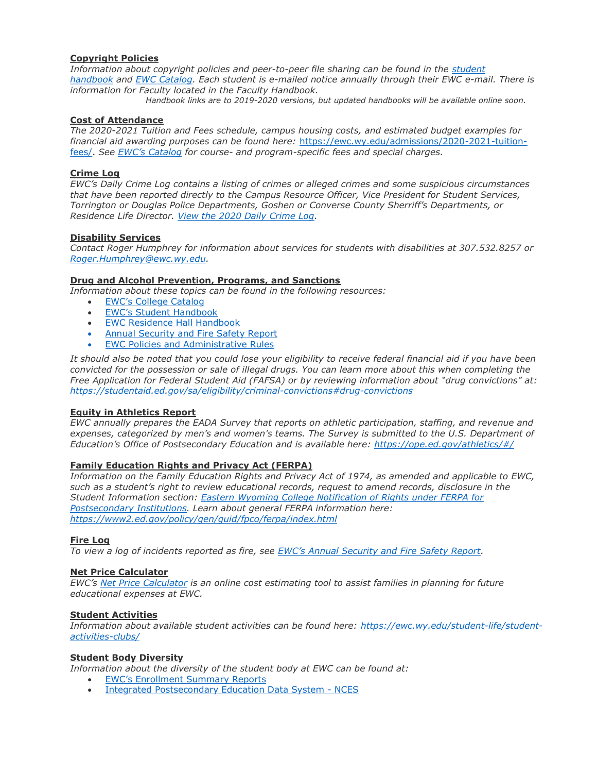## Copyright Policies

Information about copyright policies and peer-to-peer file sharing can be found in the student handbook and EWC Catalog. Each student is e-mailed notice annually through their EWC e-mail. There is information for Faculty located in the Faculty Handbook.

Handbook links are to 2019-2020 versions, but updated handbooks will be available online soon.

# Cost of Attendance

The 2020-2021 Tuition and Fees schedule, campus housing costs, and estimated budget examples for financial aid awarding purposes can be found here: https://ewc.wy.edu/admissions/2020-2021-tuitionfees/. See EWC's Catalog for course- and program-specific fees and special charges.

# Crime Log

EWC's Daily Crime Log contains a listing of crimes or alleged crimes and some suspicious circumstances that have been reported directly to the Campus Resource Officer, Vice President for Student Services, Torrington or Douglas Police Departments, Goshen or Converse County Sherriff's Departments, or Residence Life Director. View the 2020 Daily Crime Log.

## Disability Services

Contact Roger Humphrey for information about services for students with disabilities at 307.532.8257 or Roger.Humphrey@ewc.wy.edu.

## Drug and Alcohol Prevention, Programs, and Sanctions

Information about these topics can be found in the following resources:

- EWC's College Catalog
- EWC's Student Handbook
- EWC Residence Hall Handbook
- Annual Security and Fire Safety Report
- EWC Policies and Administrative Rules

It should also be noted that you could lose your eligibility to receive federal financial aid if you have been convicted for the possession or sale of illegal drugs. You can learn more about this when completing the Free Application for Federal Student Aid (FAFSA) or by reviewing information about "drug convictions" at: https://studentaid.ed.gov/sa/eligibility/criminal-convictions#drug-convictions

#### Equity in Athletics Report

EWC annually prepares the EADA Survey that reports on athletic participation, staffing, and revenue and expenses, categorized by men's and women's teams. The Survey is submitted to the U.S. Department of Education's Office of Postsecondary Education and is available here: https://ope.ed.gov/athletics/#/

## Family Education Rights and Privacy Act (FERPA)

Information on the Family Education Rights and Privacy Act of 1974, as amended and applicable to EWC, such as a student's right to review educational records, request to amend records, disclosure in the Student Information section: Eastern Wyoming College Notification of Rights under FERPA for Postsecondary Institutions. Learn about general FERPA information here: https://www2.ed.gov/policy/gen/guid/fpco/ferpa/index.html

#### Fire Log

To view a log of incidents reported as fire, see EWC's Annual Security and Fire Safety Report.

## Net Price Calculator

EWC's Net Price Calculator is an online cost estimating tool to assist families in planning for future educational expenses at EWC.

#### Student Activities

Information about available student activities can be found here: https://ewc.wy.edu/student-life/studentactivities-clubs/

## Student Body Diversity

Information about the diversity of the student body at EWC can be found at:

- EWC's Enrollment Summary Reports
- Integrated Postsecondary Education Data System NCES